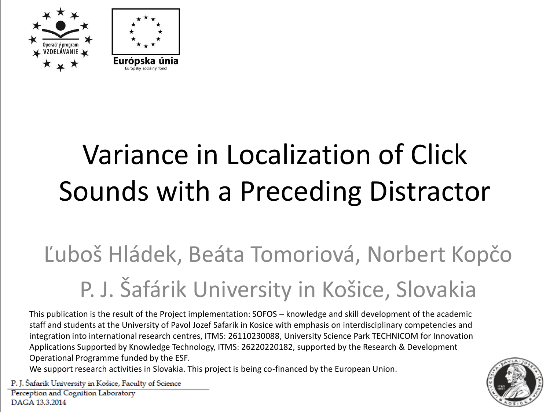



## Variance in Localization of Click Sounds with a Preceding Distractor

## Ľuboš Hládek, Beáta Tomoriová, Norbert Kopčo P. J. Šafárik University in Košice, Slovakia

This publication is the result of the Project implementation: SOFOS – knowledge and skill development of the academic staff and students at the University of Pavol Jozef Safarik in Kosice with emphasis on interdisciplinary competencies and integration into international research centres, ITMS: 26110230088, University Science Park TECHNICOM for Innovation Applications Supported by Knowledge Technology, ITMS: 26220220182, supported by the Research & Development Operational Programme funded by the ESF.

We support research activities in Slovakia. This project is being co-financed by the European Union.

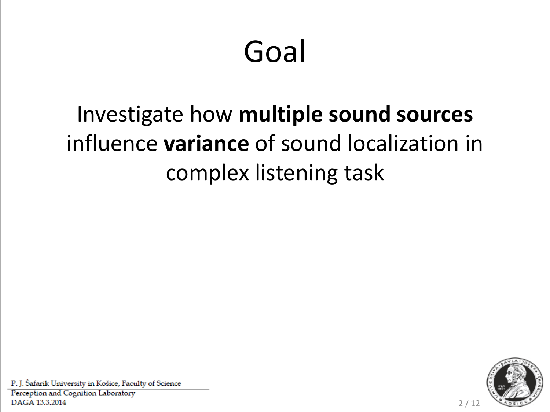# Goal

## Investigate how **multiple sound sources**  influence **variance** of sound localization in complex listening task



2 / 12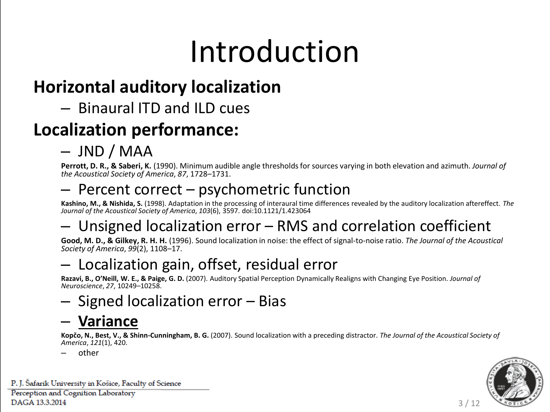# Introduction

### **Horizontal auditory localization**

#### – Binaural ITD and ILD cues

### **Localization performance:**

#### – JND / MAA

**Perrott, D. R., & Saberi, K.** (1990). Minimum audible angle thresholds for sources varying in both elevation and azimuth. *Journal of the Acoustical Society of America*, *87*, 1728–1731.

#### – Percent correct – psychometric function

**Kashino, M., & Nishida, S.** (1998). Adaptation in the processing of interaural time differences revealed by the auditory localization aftereffect. *The Journal of the Acoustical Society of America*, *103*(6), 3597. doi:10.1121/1.423064

#### – Unsigned localization error – RMS and correlation coefficient

**Good, M. D., & Gilkey, R. H. H.** (1996). Sound localization in noise: the effect of signal-to-noise ratio. *The Journal of the Acoustical Society of America*, *99*(2), 1108–17.

#### – Localization gain, offset, residual error

**Razavi, B., O'Neill, W. E., & Paige, G. D.** (2007). Auditory Spatial Perception Dynamically Realigns with Changing Eye Position. *Journal of Neuroscience*, *27*, 10249–10258.

#### – Signed localization error – Bias

#### – **Variance**

**Kopčo, N., Best, V., & Shinn-Cunningham, B. G.** (2007). Sound localization with a preceding distractor. *The Journal of the Acoustical Society of America*, *121*(1), 420.

other



3 / 12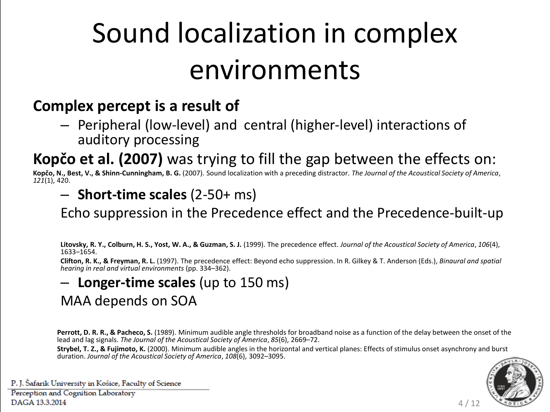## Sound localization in complex environments

#### **Complex percept is a result of**

– Peripheral (low-level) and central (higher-level) interactions of auditory processing

**Kopčo et al. (2007)** was trying to fill the gap between the effects on:

**Kopčo, N., Best, V., & Shinn-Cunningham, B. G.** (2007). Sound localization with a preceding distractor. *The Journal of the Acoustical Society of America*, *121*(1), 420.

– **Short-time scales** (2-50+ ms)

Echo suppression in the Precedence effect and the Precedence-built-up

**Litovsky, R. Y., Colburn, H. S., Yost, W. A., & Guzman, S. J.** (1999). The precedence effect. *Journal of the Acoustical Society of America*, *106*(4), 1633–1654.

**Clifton, R. K., & Freyman, R. L.** (1997). The precedence effect: Beyond echo suppression. In R. Gilkey & T. Anderson (Eds.), *Binaural and spatial hearing in real and virtual environments* (pp. 334–362).

#### – **Longer-time scales** (up to 150 ms)

MAA depends on SOA

**Perrott, D. R. R., & Pacheco, S.** (1989). Minimum audible angle thresholds for broadband noise as a function of the delay between the onset of the lead and lag signals. *The Journal of the Acoustical Society of America*, *85*(6), 2669–72.

**Strybel, T. Z., & Fujimoto, K.** (2000). Minimum audible angles in the horizontal and vertical planes: Effects of stimulus onset asynchrony and burst duration. *Journal of the Acoustical Society of America*, *108*(6), 3092–3095.



4 / 12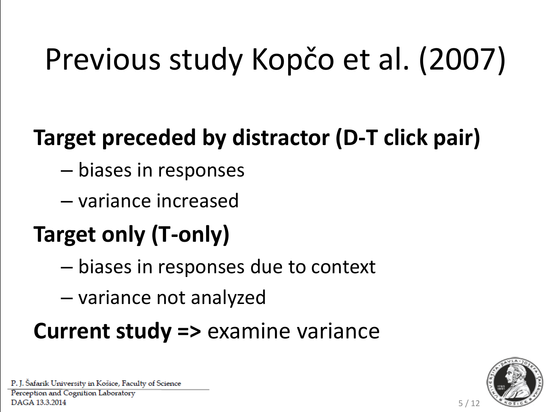# Previous study Kopčo et al. (2007)

## **Target preceded by distractor (D-T click pair)**

- biases in responses
- variance increased

## **Target only (T-only)**

- biases in responses due to context
- variance not analyzed

### **Current study =>** examine variance



5 / 12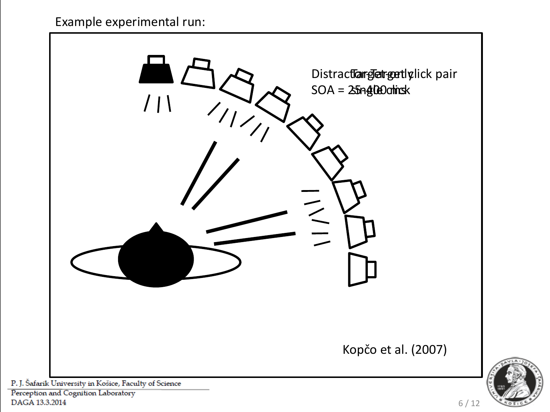

Perception and Cognition Laboratory DAGA 13.3.2014

6 / 12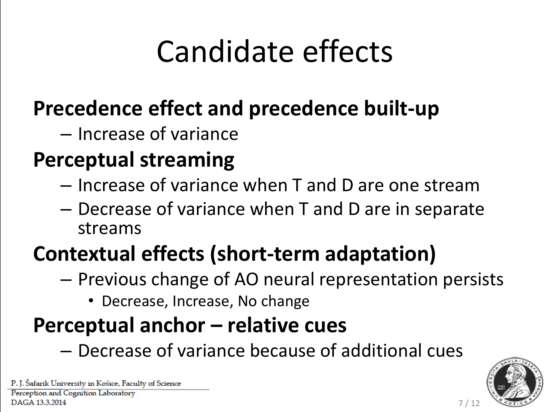# Candidate effects

### **Precedence effect and precedence built-up**

– Increase of variance

### **Perceptual streaming**

- Increase of variance when T and D are one stream
- Decrease of variance when T and D are in separate streams

### **Contextual effects (short-term adaptation)**

- Previous change of AO neural representation persists
	- Decrease, Increase, No change

### **Perceptual anchor – relative cues**

– Decrease of variance because of additional cues



7 / 12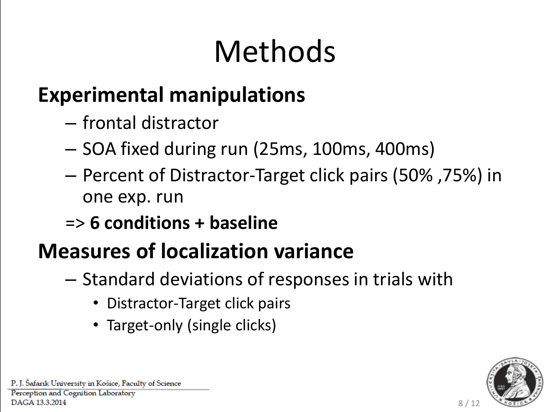# Methods

### **Experimental manipulations**

- frontal distractor
- SOA fixed during run (25ms, 100ms, 400ms)
- Percent of Distractor-Target click pairs (50% ,75%) in one exp. run
- => **6 conditions + baseline**

### **Measures of localization variance**

- Standard deviations of responses in trials with
	- Distractor-Target click pairs
	- Target-only (single clicks)



8 / 12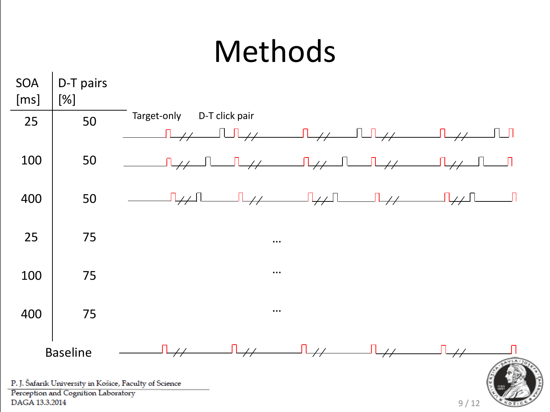## Methods



9 / 12

Perception and Cognition Laboratory DAGA 13.3.2014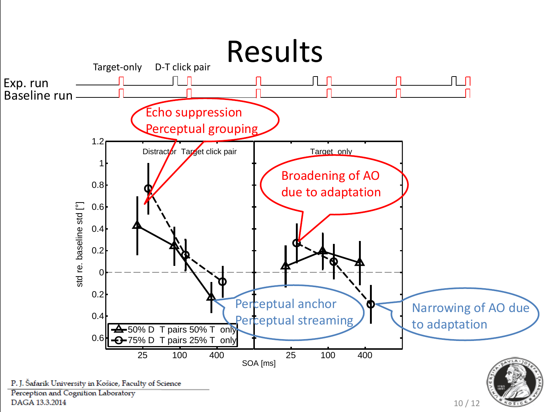

10 / 12

DAGA 13.3.2014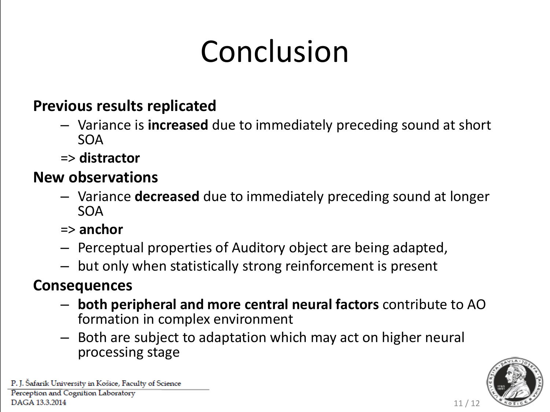# Conclusion

#### **Previous results replicated**

- Variance is **increased** due to immediately preceding sound at short SOA
- => **distractor**

#### **New observations**

- Variance **decreased** due to immediately preceding sound at longer SOA
- => **anchor**
- Perceptual properties of Auditory object are being adapted,
- but only when statistically strong reinforcement is present

#### **Consequences**

- **both peripheral and more central neural factors** contribute to AO formation in complex environment
- Both are subject to adaptation which may act on higher neural processing stage



11 / 12